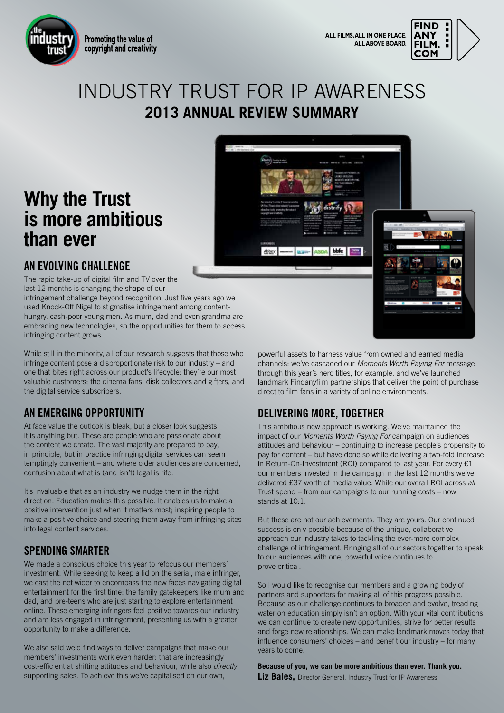

Promoting the value of copyright and creativity



## INDUSTRY TRUST FOR IP AWARENESS **2013 ANNUAL REVIEW SUMMARY**

# **Why the Trust is more ambitious than ever**



### **AN EVOLVING CHALLENGE**

The rapid take-up of digital film and TV over the last 12 months is changing the shape of our

infringement challenge beyond recognition. Just five years ago we used Knock-Off Nigel to stigmatise infringement among contenthungry, cash-poor young men. As mum, dad and even grandma are embracing new technologies, so the opportunities for them to access infringing content grows.

While still in the minority, all of our research suggests that those who infringe content pose a disproportionate risk to our industry – and one that bites right across our product's lifecycle: they're our most valuable customers; the cinema fans; disk collectors and gifters, and the digital service subscribers.

#### **AN EMERGING OPPORTUNITY**

At face value the outlook is bleak, but a closer look suggests it is anything but. These are people who are passionate about the content we create. The vast majority are prepared to pay, in principle, but in practice infringing digital services can seem temptingly convenient – and where older audiences are concerned, confusion about what is (and isn't) legal is rife.

It's invaluable that as an industry we nudge them in the right direction. Education makes this possible. It enables us to make a positive intervention just when it matters most; inspiring people to make a positive choice and steering them away from infringing sites into legal content services.

#### **SPENDING SMARTER**

We made a conscious choice this year to refocus our members' investment. While seeking to keep a lid on the serial, male infringer, we cast the net wider to encompass the new faces navigating digital entertainment for the first time: the family gatekeepers like mum and dad, and pre-teens who are just starting to explore entertainment online. These emerging infringers feel positive towards our industry and are less engaged in infringement, presenting us with a greater opportunity to make a difference.

We also said we'd find ways to deliver campaigns that make our members' investments work even harder: that are increasingly cost-efficient at shifting attitudes and behaviour, while also *directly* supporting sales. To achieve this we've capitalised on our own,

powerful assets to harness value from owned and earned media channels: we've cascaded our *Moments Worth Paying For* message through this year's hero titles, for example, and we've launched landmark Findanyfilm partnerships that deliver the point of purchase direct to film fans in a variety of online environments.

### **DELIVERING MORE, TOGETHER**

This ambitious new approach is working. We've maintained the impact of our *Moments Worth Paying For* campaign on audiences attitudes and behaviour – continuing to increase people's propensity to pay for content – but have done so while delivering a two-fold increase in Return-On-Investment (ROI) compared to last year. For every £1 our members invested in the campaign in the last 12 months we've delivered £37 worth of media value. While our overall ROI across *all* Trust spend – from our campaigns to our running costs – now stands at 10:1.

But these are not our achievements. They are yours. Our continued success is only possible because of the unique, collaborative approach our industry takes to tackling the ever-more complex challenge of infringement. Bringing all of our sectors together to speak to our audiences with one, powerful voice continues to prove critical.

So I would like to recognise our members and a growing body of partners and supporters for making all of this progress possible. Because as our challenge continues to broaden and evolve, treading water on education simply isn't an option. With your vital contributions we can continue to create new opportunities, strive for better results and forge new relationships. We can make landmark moves today that influence consumers' choices – and benefit our industry – for many years to come.

**Because of you, we can be more ambitious than ever. Thank you.**

**Liz Bales, Director General, Industry Trust for IP Awareness**